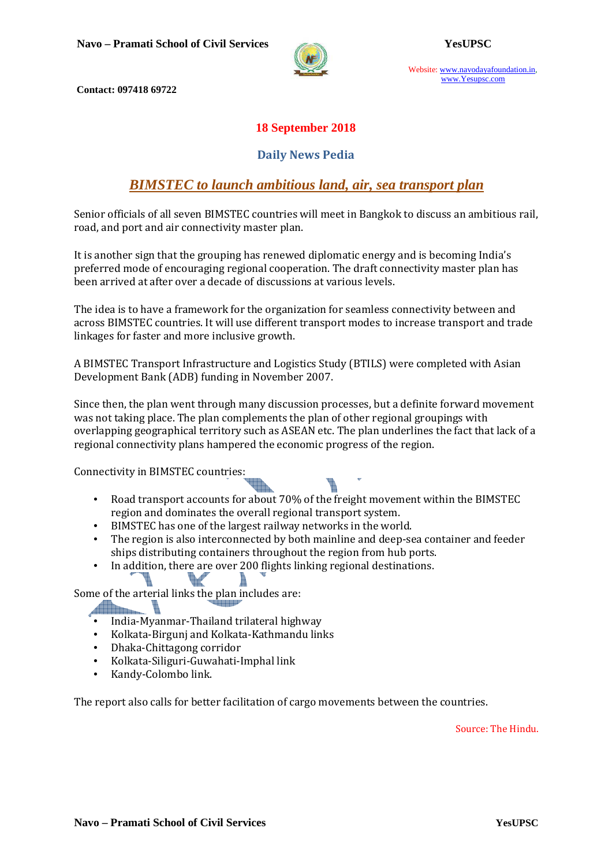

Website: www.navodayafoundation.in, www.Yesupsc.com

 **Contact: 097418 69722** 

### **18 September 2018**

### **Daily News Pedia**

### *BIMSTEC to launch ambitious land, air, sea transport plan*

Senior officials of all seven BIMSTEC countries will meet in Bangkok to discuss an ambitious rail, road, and port and air connectivity master plan.

It is another sign that the grouping has renewed diplomatic energy and is becoming India's preferred mode of encouraging regional cooperation. The draft connectivity master plan has been arrived at after over a decade of discussions at various levels.

The idea is to have a framework for the organization for seamless connectivity between and across BIMSTEC countries. It will use different transport modes to increase transport and trade linkages for faster and more inclusive growth.

A BIMSTEC Transport Infrastructure and Logistics Study (BTILS) were completed with Asian Development Bank (ADB) funding in November 2007.

Since then, the plan went through many discussion processes, but a definite forward movement was not taking place. The plan complements the plan of other regional groupings with overlapping geographical territory such as ASEAN etc. The plan underlines the fact that lack of a regional connectivity plans hampered the economic progress of the region.

Connectivity in BIMSTEC countries:

- Road transport accounts for about 70% of the freight movement within the BIMSTEC region and dominates the overall regional transport system.
- BIMSTEC has one of the largest railway networks in the world.

ià.

- The region is also interconnected by both mainline and deep-sea container and feeder ships distributing containers throughout the region from hub ports.
- In addition, there are over 200 flights linking regional destinations.

Some of the arterial links the plan includes are:

Ï.

- India-Myanmar-Thailand trilateral highway
- Kolkata-Birgunj and Kolkata-Kathmandu links
- Dhaka-Chittagong corridor
- Kolkata-Siliguri-Guwahati-Imphal link
- Kandy-Colombo link.

The report also calls for better facilitation of cargo movements between the countries.

Source: The Hindu.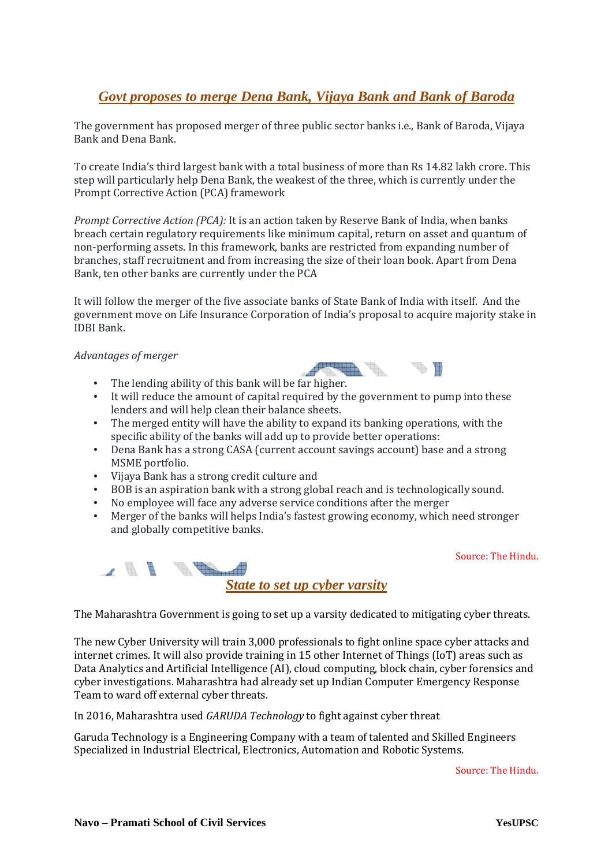### *Govt proposes to merge Dena Bank, Vijaya Bank and Bank of Baroda*

The government has proposed merger of three public sector banks i.e., Bank of Baroda, Vijaya Bank and Dena Bank.

To create India's third largest bank with a total business of more than Rs 14.82 lakh crore. This step will particularly help Dena Bank, the weakest of the three, which is currently under the Prompt Corrective Action (PCA) framework

*Prompt Corrective Action (PCA):* It is an action taken by Reserve Bank of India, when banks breach certain regulatory requirements like minimum capital, return on asset and quantum of non-performing assets. In this framework, banks are restricted from expanding number of branches, staff recruitment and from increasing the size of their loan book. Apart from Dena Bank, ten other banks are currently under the PCA

It will follow the merger of the five associate banks of State Bank of India with itself. And the government move on Life Insurance Corporation of India's proposal to acquire majority stake in IDBI Bank.

#### *Advantages of merger*

- The lending ability of this bank will be far higher.
- It will reduce the amount of capital required by the government to pump into these lenders and will help clean their balance sheets.
- The merged entity will have the ability to expand its banking operations, with the specific ability of the banks will add up to provide better operations:
- Dena Bank has a strong CASA (current account savings account) base and a strong MSME portfolio.
- Vijaya Bank has a strong credit culture and
- BOB is an aspiration bank with a strong global reach and is technologically sound.
- No employee will face any adverse service conditions after the merger
- Merger of the banks will helps India's fastest growing economy, which need stronger and globally competitive banks.

Source: The Hindu.



The Maharashtra Government is going to set up a varsity dedicated to mitigating cyber threats.

The new Cyber University will train 3,000 professionals to fight online space cyber attacks and internet crimes. It will also provide training in 15 other Internet of Things (IoT) areas such as Data Analytics and Artificial Intelligence (AI), cloud computing, block chain, cyber forensics and cyber investigations. Maharashtra had already set up Indian Computer Emergency Response Team to ward off external cyber threats.

In 2016, Maharashtra used *GARUDA Technology* to fight against cyber threat

Garuda Technology is a Engineering Company with a team of talented and Skilled Engineers Specialized in Industrial Electrical, Electronics, Automation and Robotic Systems.

Source: The Hindu.



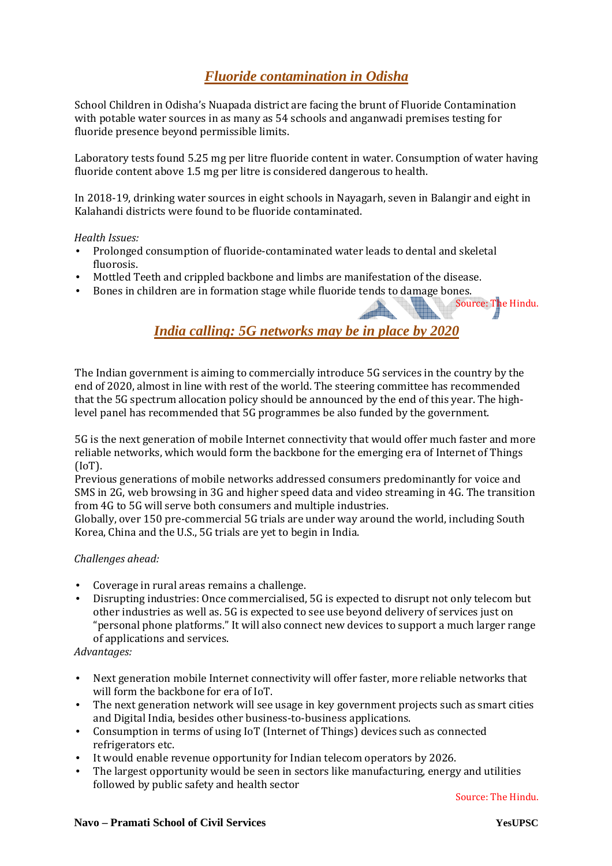## *Fluoride contamination in Odisha*

School Children in Odisha's Nuapada district are facing the brunt of Fluoride Contamination with potable water sources in as many as 54 schools and anganwadi premises testing for fluoride presence beyond permissible limits.

Laboratory tests found 5.25 mg per litre fluoride content in water. Consumption of water having fluoride content above 1.5 mg per litre is considered dangerous to health.

In 2018-19, drinking water sources in eight schools in Nayagarh, seven in Balangir and eight in Kalahandi districts were found to be fluoride contaminated.

#### *Health Issues:*

- Prolonged consumption of fluoride-contaminated water leads to dental and skeletal fluorosis.
- Mottled Teeth and crippled backbone and limbs are manifestation of the disease.
- Bones in children are in formation stage while fluoride tends to damage bones.

## *India calling: 5G networks may be in place by 2020*

The Indian government is aiming to commercially introduce 5G services in the country by the end of 2020, almost in line with rest of the world. The steering committee has recommended that the 5G spectrum allocation policy should be announced by the end of this year. The highlevel panel has recommended that 5G programmes be also funded by the government.

5G is the next generation of mobile Internet connectivity that would offer much faster and more reliable networks, which would form the backbone for the emerging era of Internet of Things (IoT).

Previous generations of mobile networks addressed consumers predominantly for voice and SMS in 2G, web browsing in 3G and higher speed data and video streaming in 4G. The transition from 4G to 5G will serve both consumers and multiple industries.

Globally, over 150 pre-commercial 5G trials are under way around the world, including South Korea, China and the U.S., 5G trials are yet to begin in India.

#### *Challenges ahead:*

- Coverage in rural areas remains a challenge.
- Disrupting industries: Once commercialised, 5G is expected to disrupt not only telecom but other industries as well as. 5G is expected to see use beyond delivery of services just on "personal phone platforms." It will also connect new devices to support a much larger range of applications and services.

#### *Advantages:*

- Next generation mobile Internet connectivity will offer faster, more reliable networks that will form the backbone for era of IoT.
- The next generation network will see usage in key government projects such as smart cities and Digital India, besides other business-to-business applications.
- Consumption in terms of using IoT (Internet of Things) devices such as connected refrigerators etc.
- It would enable revenue opportunity for Indian telecom operators by 2026.
- The largest opportunity would be seen in sectors like manufacturing, energy and utilities followed by public safety and health sector

Source: The Hindu.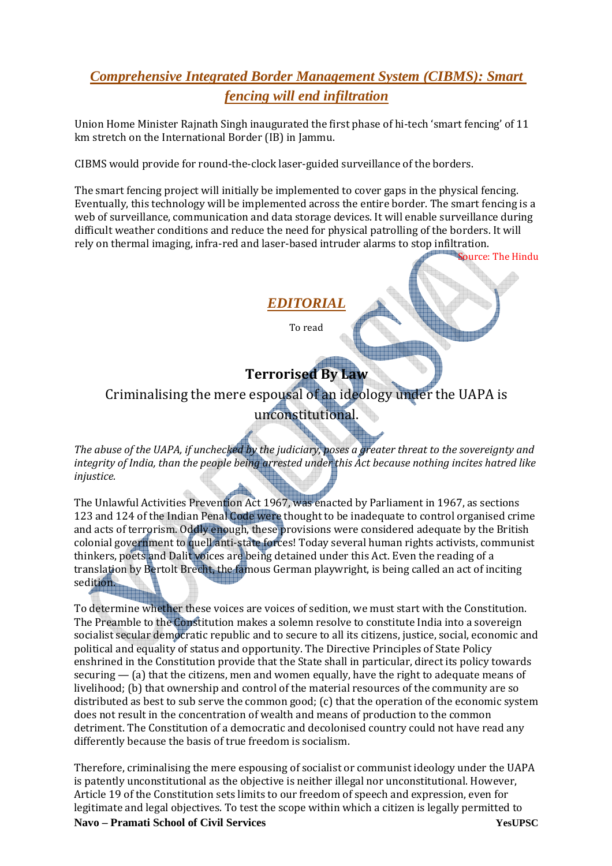# *Comprehensive Integrated Border Management System (CIBMS): Smart fencing will end infiltration*

Union Home Minister Rajnath Singh inaugurated the first phase of hi-tech 'smart fencing' of 11 km stretch on the International Border (IB) in Jammu.

CIBMS would provide for round-the-clock laser-guided surveillance of the borders.

The smart fencing project will initially be implemented to cover gaps in the physical fencing. Eventually, this technology will be implemented across the entire border. The smart fencing is a web of surveillance, communication and data storage devices. It will enable surveillance during difficult weather conditions and reduce the need for physical patrolling of the borders. It will rely on thermal imaging, infra-red and laser-based intruder alarms to stop infiltration.

Source: The Hindu

*EDITORIAL*

To read

# **Terrorised By Law**

Criminalising the mere espousal of an ideology under the UAPA is

# unconstitutional.

*The abuse of the UAPA, if unchecked by the judiciary, poses a greater threat to the sovereignty and integrity of India, than the people being arrested under this Act because nothing incites hatred like injustice.* 

The Unlawful Activities Prevention Act 1967, was enacted by Parliament in 1967, as sections 123 and 124 of the Indian Penal Code were thought to be inadequate to control organised crime and acts of terrorism. Oddly enough, these provisions were considered adequate by the British colonial government to quell anti-state forces! Today several human rights activists, communist thinkers, poets and Dalit voices are being detained under this Act. Even the reading of a translation by Bertolt Brecht, the famous German playwright, is being called an act of inciting sedition.

To determine whether these voices are voices of sedition, we must start with the Constitution. The Preamble to the Constitution makes a solemn resolve to constitute India into a sovereign socialist secular democratic republic and to secure to all its citizens, justice, social, economic and political and equality of status and opportunity. The Directive Principles of State Policy enshrined in the Constitution provide that the State shall in particular, direct its policy towards securing  $-$  (a) that the citizens, men and women equally, have the right to adequate means of livelihood; (b) that ownership and control of the material resources of the community are so distributed as best to sub serve the common good; (c) that the operation of the economic system does not result in the concentration of wealth and means of production to the common detriment. The Constitution of a democratic and decolonised country could not have read any differently because the basis of true freedom is socialism.

Therefore, criminalising the mere espousing of socialist or communist ideology under the UAPA is patently unconstitutional as the objective is neither illegal nor unconstitutional. However, Article 19 of the Constitution sets limits to our freedom of speech and expression, even for legitimate and legal objectives. To test the scope within which a citizen is legally permitted to